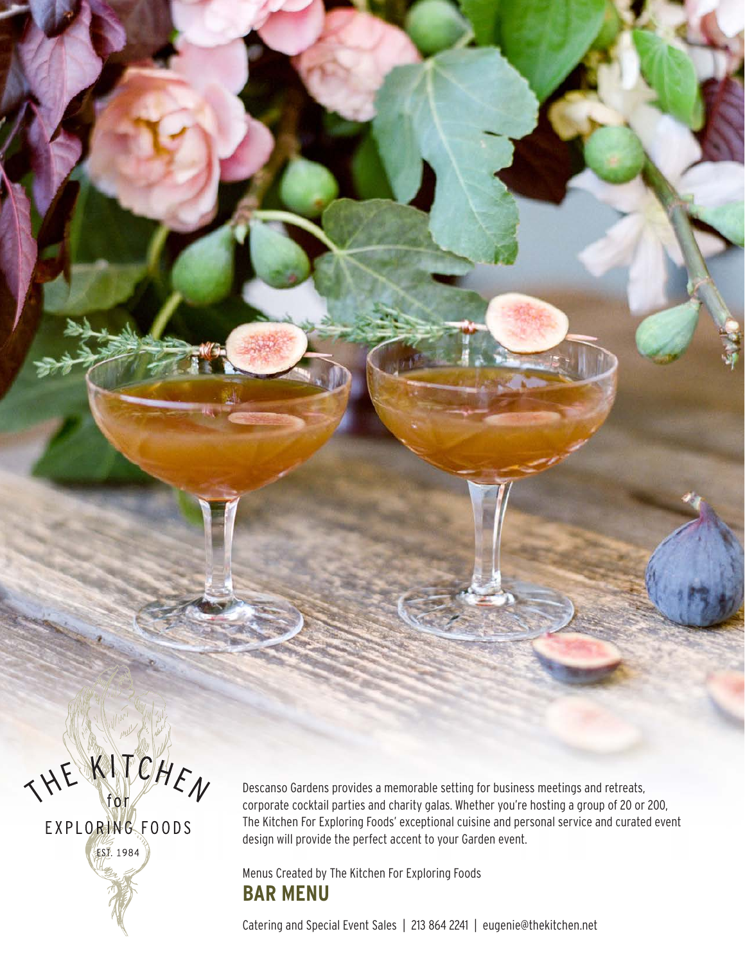THE KITCHEN

EXPLORING FOODS **EST. 1984** 

Descanso Gardens provides a memorable setting for business meetings and retreats, corporate cocktail parties and charity galas. Whether you're hosting a group of 20 or 200, The Kitchen For Exploring Foods' exceptional cuisine and personal service and curated event design will provide the perfect accent to your Garden event.

#### Menus Created by The Kitchen For Exploring Foods **BAR MENU**

Catering and Special Event Sales | 213 864 2241 | eugenie@thekitchen.net